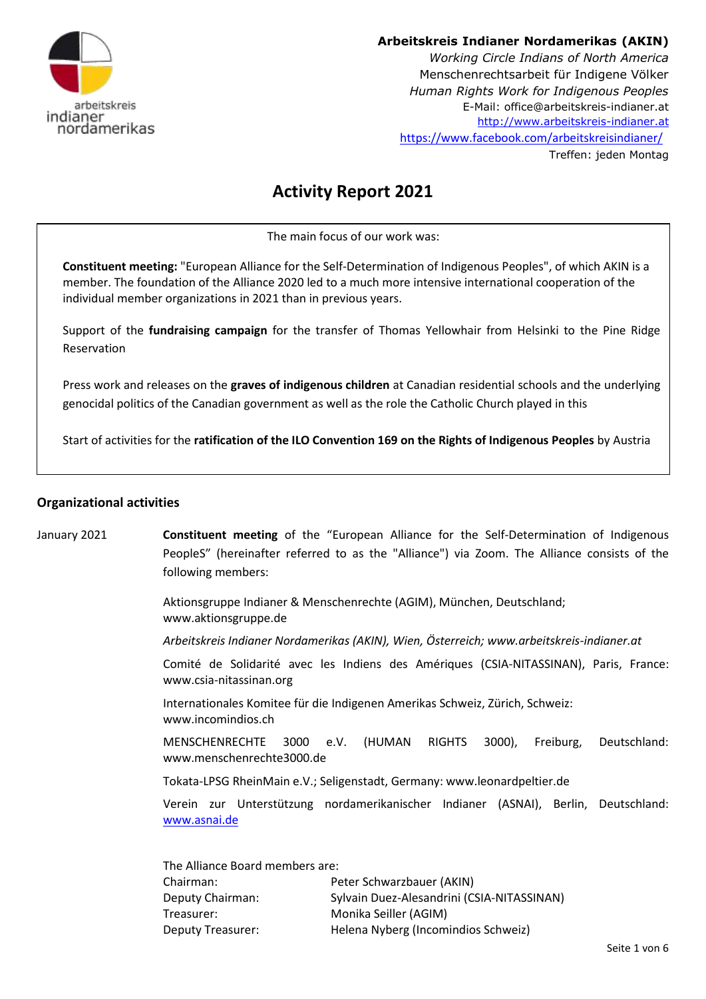

# **Arbeitskreis Indianer Nordamerikas (AKIN)**

*Working Circle Indians of North America*  Menschenrechtsarbeit für Indigene Völker *Human Rights Work for Indigenous Peoples* E-Mail: office@arbeitskreis-indianer.at [http://www.arbeitskreis-indianer.at](http://www.arbeitskreis-indianer.at/) <https://www.facebook.com/arbeitskreisindianer/> Treffen: jeden Montag

# **Activity Report 2021**

The main focus of our work was:

**Constituent meeting:** "European Alliance for the Self-Determination of Indigenous Peoples", of which AKIN is a member. The foundation of the Alliance 2020 led to a much more intensive international cooperation of the individual member organizations in 2021 than in previous years.

Support of the **fundraising campaign** for the transfer of Thomas Yellowhair from Helsinki to the Pine Ridge Reservation

Press work and releases on the **graves of indigenous children** at Canadian residential schools and the underlying genocidal politics of the Canadian government as well as the role the Catholic Church played in this

Start of activities for the **ratification of the ILO Convention 169 on the Rights of Indigenous Peoples** by Austria

# **Organizational activities**

January 2021 **Constituent meeting** of the "European Alliance for the Self-Determination of Indigenous PeopleS" (hereinafter referred to as the "Alliance") via Zoom. The Alliance consists of the following members:

> Aktionsgruppe Indianer & Menschenrechte (AGIM), München, Deutschland; www.aktionsgruppe.de

*Arbeitskreis Indianer Nordamerikas (AKIN), Wien, Österreich; www.arbeitskreis-indianer.at* 

Comité de Solidarité avec les Indiens des Amériques (CSIA-NITASSINAN), Paris, France: www.csia-nitassinan.org

Internationales Komitee für die Indigenen Amerikas Schweiz, Zürich, Schweiz: www.incomindios.ch

MENSCHENRECHTE 3000 e.V. (HUMAN RIGHTS 3000), Freiburg, Deutschland: www.menschenrechte3000.de

Tokata-LPSG RheinMain e.V.; Seligenstadt, Germany: www.leonardpeltier.de

Verein zur Unterstützung nordamerikanischer Indianer (ASNAI), Berlin, Deutschland: [www.asnai.de](http://www.asnai.de/)

| The Alliance Board members are: |                                            |
|---------------------------------|--------------------------------------------|
| Chairman:                       | Peter Schwarzbauer (AKIN)                  |
| Deputy Chairman:                | Sylvain Duez-Alesandrini (CSIA-NITASSINAN) |
| Treasurer:                      | Monika Seiller (AGIM)                      |
| Deputy Treasurer:               | Helena Nyberg (Incomindios Schweiz)        |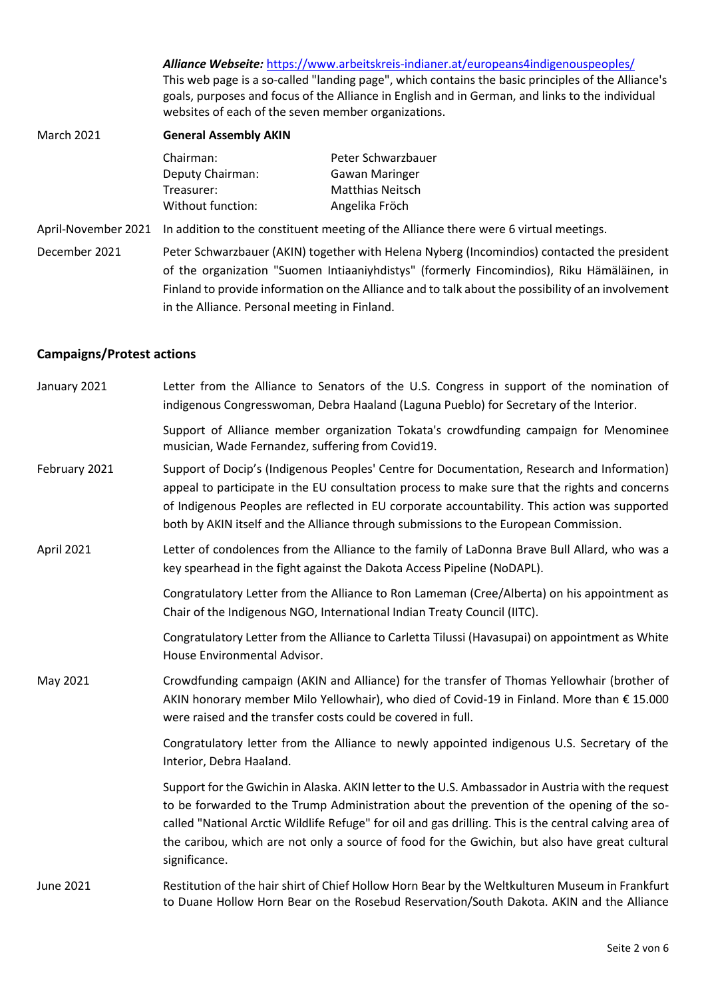*Alliance Webseite:* <https://www.arbeitskreis-indianer.at/europeans4indigenouspeoples/> This web page is a so-called "landing page", which contains the basic principles of the Alliance's goals, purposes and focus of the Alliance in English and in German, and links to the individual websites of each of the seven member organizations.

| <b>March 2021</b>    | <b>General Assembly AKIN</b>                                                                                        |                         |  |
|----------------------|---------------------------------------------------------------------------------------------------------------------|-------------------------|--|
|                      | Chairman:                                                                                                           | Peter Schwarzbauer      |  |
|                      | Deputy Chairman:                                                                                                    | <b>Gawan Maringer</b>   |  |
|                      | Treasurer:                                                                                                          | <b>Matthias Neitsch</b> |  |
|                      | Without function:                                                                                                   | Angelika Fröch          |  |
|                      | April-November 2021 In addition to the constituent meeting of the Alliance there were 6 virtual meetings.           |                         |  |
| <b>Desember 2004</b> | والجامعة ويلوينو والموالد والمستودعا والمستوار الملحق والملالي ويستطيعه والقالفان والمستوا وسينبط والمستوات والملتج |                         |  |

December 2021 Peter Schwarzbauer (AKIN) together with Helena Nyberg (Incomindios) contacted the president of the organization "Suomen Intiaaniyhdistys" (formerly Fincomindios), Riku Hämäläinen, in Finland to provide information on the Alliance and to talk about the possibility of an involvement in the Alliance. Personal meeting in Finland.

# **Campaigns/Protest actions**

| January 2021     | Letter from the Alliance to Senators of the U.S. Congress in support of the nomination of<br>indigenous Congresswoman, Debra Haaland (Laguna Pueblo) for Secretary of the Interior.                                                                                                                                                                                                                                          |
|------------------|------------------------------------------------------------------------------------------------------------------------------------------------------------------------------------------------------------------------------------------------------------------------------------------------------------------------------------------------------------------------------------------------------------------------------|
|                  | Support of Alliance member organization Tokata's crowdfunding campaign for Menominee<br>musician, Wade Fernandez, suffering from Covid19.                                                                                                                                                                                                                                                                                    |
| February 2021    | Support of Docip's (Indigenous Peoples' Centre for Documentation, Research and Information)<br>appeal to participate in the EU consultation process to make sure that the rights and concerns<br>of Indigenous Peoples are reflected in EU corporate accountability. This action was supported<br>both by AKIN itself and the Alliance through submissions to the European Commission.                                       |
| April 2021       | Letter of condolences from the Alliance to the family of LaDonna Brave Bull Allard, who was a<br>key spearhead in the fight against the Dakota Access Pipeline (NoDAPL).                                                                                                                                                                                                                                                     |
|                  | Congratulatory Letter from the Alliance to Ron Lameman (Cree/Alberta) on his appointment as<br>Chair of the Indigenous NGO, International Indian Treaty Council (IITC).                                                                                                                                                                                                                                                      |
|                  | Congratulatory Letter from the Alliance to Carletta Tilussi (Havasupai) on appointment as White<br>House Environmental Advisor.                                                                                                                                                                                                                                                                                              |
| May 2021         | Crowdfunding campaign (AKIN and Alliance) for the transfer of Thomas Yellowhair (brother of<br>AKIN honorary member Milo Yellowhair), who died of Covid-19 in Finland. More than € 15.000<br>were raised and the transfer costs could be covered in full.                                                                                                                                                                    |
|                  | Congratulatory letter from the Alliance to newly appointed indigenous U.S. Secretary of the<br>Interior, Debra Haaland.                                                                                                                                                                                                                                                                                                      |
|                  | Support for the Gwichin in Alaska. AKIN letter to the U.S. Ambassador in Austria with the request<br>to be forwarded to the Trump Administration about the prevention of the opening of the so-<br>called "National Arctic Wildlife Refuge" for oil and gas drilling. This is the central calving area of<br>the caribou, which are not only a source of food for the Gwichin, but also have great cultural<br>significance. |
| <b>June 2021</b> | Restitution of the hair shirt of Chief Hollow Horn Bear by the Weltkulturen Museum in Frankfurt<br>to Duane Hollow Horn Bear on the Rosebud Reservation/South Dakota. AKIN and the Alliance                                                                                                                                                                                                                                  |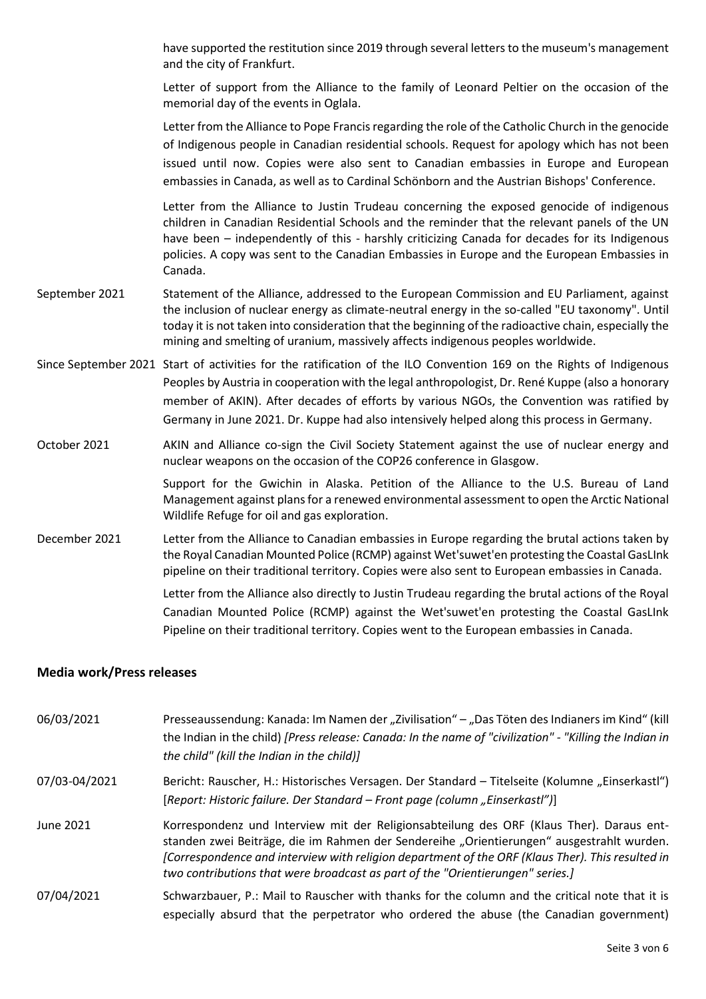have supported the restitution since 2019 through several letters to the museum's management and the city of Frankfurt.

Letter of support from the Alliance to the family of Leonard Peltier on the occasion of the memorial day of the events in Oglala.

Letter from the Alliance to Pope Francis regarding the role of the Catholic Church in the genocide of Indigenous people in Canadian residential schools. Request for apology which has not been issued until now. Copies were also sent to Canadian embassies in Europe and European embassies in Canada, as well as to Cardinal Schönborn and the Austrian Bishops' Conference.

Letter from the Alliance to Justin Trudeau concerning the exposed genocide of indigenous children in Canadian Residential Schools and the reminder that the relevant panels of the UN have been – independently of this - harshly criticizing Canada for decades for its Indigenous policies. A copy was sent to the Canadian Embassies in Europe and the European Embassies in Canada.

- September 2021 Statement of the Alliance, addressed to the European Commission and EU Parliament, against the inclusion of nuclear energy as climate-neutral energy in the so-called "EU taxonomy". Until today it is not taken into consideration that the beginning of the radioactive chain, especially the mining and smelting of uranium, massively affects indigenous peoples worldwide.
- Since September 2021 Start of activities for the ratification of the ILO Convention 169 on the Rights of Indigenous Peoples by Austria in cooperation with the legal anthropologist, Dr. René Kuppe (also a honorary member of AKIN). After decades of efforts by various NGOs, the Convention was ratified by Germany in June 2021. Dr. Kuppe had also intensively helped along this process in Germany.
- October 2021 AKIN and Alliance co-sign the Civil Society Statement against the use of nuclear energy and nuclear weapons on the occasion of the COP26 conference in Glasgow.

Support for the Gwichin in Alaska. Petition of the Alliance to the U.S. Bureau of Land Management against plans for a renewed environmental assessment to open the Arctic National Wildlife Refuge for oil and gas exploration.

December 2021 Letter from the Alliance to Canadian embassies in Europe regarding the brutal actions taken by the Royal Canadian Mounted Police (RCMP) against Wet'suwet'en protesting the Coastal GasLInk pipeline on their traditional territory. Copies were also sent to European embassies in Canada.

> Letter from the Alliance also directly to Justin Trudeau regarding the brutal actions of the Royal Canadian Mounted Police (RCMP) against the Wet'suwet'en protesting the Coastal GasLInk Pipeline on their traditional territory. Copies went to the European embassies in Canada.

#### **Media work/Press releases**

06/03/2021 Presseaussendung: Kanada: Im Namen der "Zivilisation" – "Das Töten des Indianers im Kind" (kill the Indian in the child) *[Press release: Canada: In the name of "civilization" - "Killing the Indian in the child" (kill the Indian in the child)]*

07/03-04/2021 Bericht: Rauscher, H.: Historisches Versagen. Der Standard – Titelseite (Kolumne "Einserkastl") [*Report: Historic failure. Der Standard – Front page (column "Einserkastl")*]

- June 2021 Korrespondenz und Interview mit der Religionsabteilung des ORF (Klaus Ther). Daraus entstanden zwei Beiträge, die im Rahmen der Sendereihe "Orientierungen" ausgestrahlt wurden. *[Correspondence and interview with religion department of the ORF (Klaus Ther). This resulted in two contributions that were broadcast as part of the "Orientierungen" series.]*
- 07/04/2021 Schwarzbauer, P.: Mail to Rauscher with thanks for the column and the critical note that it is especially absurd that the perpetrator who ordered the abuse (the Canadian government)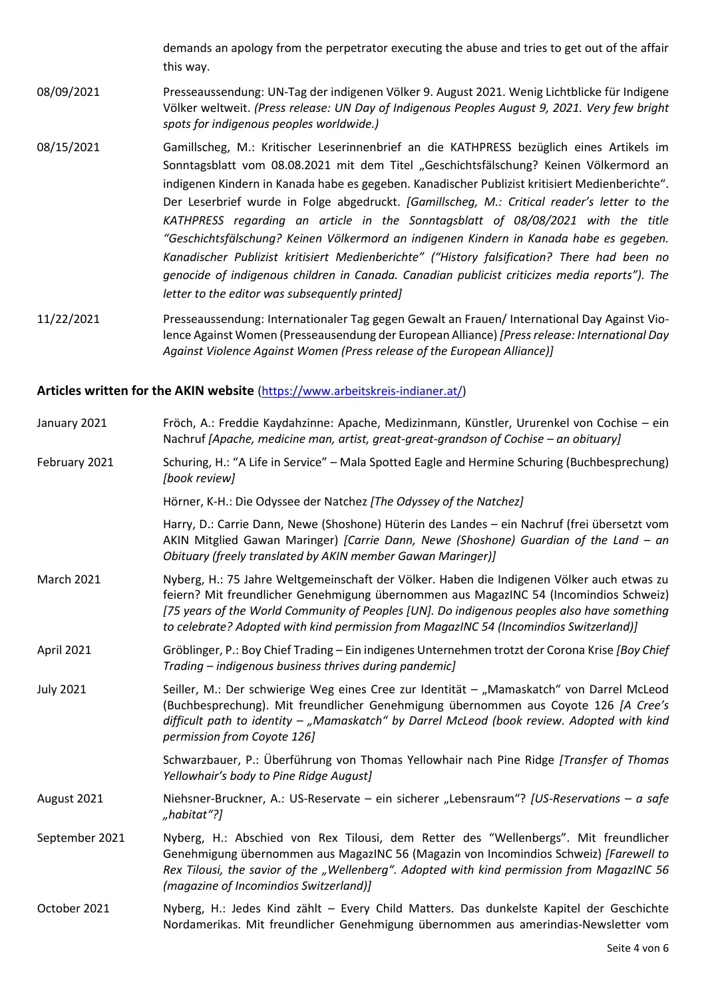demands an apology from the perpetrator executing the abuse and tries to get out of the affair this way.

- 08/09/2021 Presseaussendung: UN-Tag der indigenen Völker 9. August 2021. Wenig Lichtblicke für Indigene Völker weltweit. *(Press release: UN Day of Indigenous Peoples August 9, 2021. Very few bright spots for indigenous peoples worldwide.)*
- 08/15/2021 Gamillscheg, M.: Kritischer Leserinnenbrief an die KATHPRESS bezüglich eines Artikels im Sonntagsblatt vom 08.08.2021 mit dem Titel "Geschichtsfälschung? Keinen Völkermord an indigenen Kindern in Kanada habe es gegeben. Kanadischer Publizist kritisiert Medienberichte". Der Leserbrief wurde in Folge abgedruckt. *[Gamillscheg, M.: Critical reader's letter to the KATHPRESS regarding an article in the Sonntagsblatt of 08/08/2021 with the title "Geschichtsfälschung? Keinen Völkermord an indigenen Kindern in Kanada habe es gegeben. Kanadischer Publizist kritisiert Medienberichte" ("History falsification? There had been no genocide of indigenous children in Canada. Canadian publicist criticizes media reports"). The letter to the editor was subsequently printed]*
- 11/22/2021 Presseaussendung: Internationaler Tag gegen Gewalt an Frauen/ International Day Against Violence Against Women (Presseausendung der European Alliance) *[Press release: International Day Against Violence Against Women (Press release of the European Alliance)]*

#### **Articles written for the AKIN website** [\(https://www.arbeitskreis-indianer.at/\)](https://www.arbeitskreis-indianer.at/)

| January 2021      | Fröch, A.: Freddie Kaydahzinne: Apache, Medizinmann, Künstler, Ururenkel von Cochise - ein<br>Nachruf [Apache, medicine man, artist, great-great-grandson of Cochise - an obituary]                                                                                                                                                                                          |
|-------------------|------------------------------------------------------------------------------------------------------------------------------------------------------------------------------------------------------------------------------------------------------------------------------------------------------------------------------------------------------------------------------|
| February 2021     | Schuring, H.: "A Life in Service" - Mala Spotted Eagle and Hermine Schuring (Buchbesprechung)<br>[book review]                                                                                                                                                                                                                                                               |
|                   | Hörner, K-H.: Die Odyssee der Natchez [The Odyssey of the Natchez]                                                                                                                                                                                                                                                                                                           |
|                   | Harry, D.: Carrie Dann, Newe (Shoshone) Hüterin des Landes - ein Nachruf (frei übersetzt vom<br>AKIN Mitglied Gawan Maringer) [Carrie Dann, Newe (Shoshone) Guardian of the Land - an<br>Obituary (freely translated by AKIN member Gawan Maringer)]                                                                                                                         |
| <b>March 2021</b> | Nyberg, H.: 75 Jahre Weltgemeinschaft der Völker. Haben die Indigenen Völker auch etwas zu<br>feiern? Mit freundlicher Genehmigung übernommen aus MagazINC 54 (Incomindios Schweiz)<br>[75 years of the World Community of Peoples [UN]. Do indigenous peoples also have something<br>to celebrate? Adopted with kind permission from MagazINC 54 (Incomindios Switzerland)] |
| April 2021        | Gröblinger, P.: Boy Chief Trading - Ein indigenes Unternehmen trotzt der Corona Krise [Boy Chief<br>Trading – indigenous business thrives during pandemic]                                                                                                                                                                                                                   |
| <b>July 2021</b>  | Seiller, M.: Der schwierige Weg eines Cree zur Identität - "Mamaskatch" von Darrel McLeod<br>(Buchbesprechung). Mit freundlicher Genehmigung übernommen aus Coyote 126 [A Cree's<br>difficult path to identity - "Mamaskatch" by Darrel McLeod (book review. Adopted with kind<br>permission from Coyote 126]                                                                |
|                   | Schwarzbauer, P.: Überführung von Thomas Yellowhair nach Pine Ridge [Transfer of Thomas<br>Yellowhair's body to Pine Ridge August]                                                                                                                                                                                                                                           |
| August 2021       | Niehsner-Bruckner, A.: US-Reservate - ein sicherer "Lebensraum"? [US-Reservations - a safe<br>"habitat"?]                                                                                                                                                                                                                                                                    |
| September 2021    | Nyberg, H.: Abschied von Rex Tilousi, dem Retter des "Wellenbergs". Mit freundlicher<br>Genehmigung übernommen aus MagazINC 56 (Magazin von Incomindios Schweiz) [Farewell to<br>Rex Tilousi, the savior of the "Wellenberg". Adopted with kind permission from MagazINC 56<br>(magazine of Incomindios Switzerland)]                                                        |
| October 2021      | Nyberg, H.: Jedes Kind zählt - Every Child Matters. Das dunkelste Kapitel der Geschichte<br>Nordamerikas. Mit freundlicher Genehmigung übernommen aus amerindias-Newsletter vom                                                                                                                                                                                              |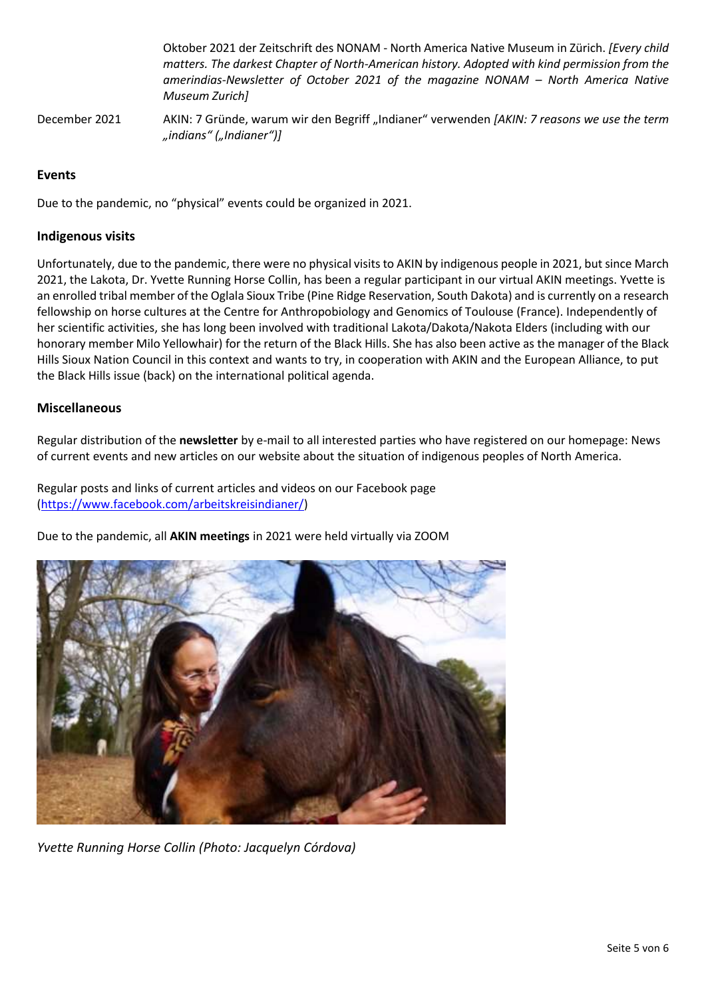Oktober 2021 der Zeitschrift des NONAM - North America Native Museum in Zürich. *[Every child matters. The darkest Chapter of North-American history. Adopted with kind permission from the amerindias-Newsletter of October 2021 of the magazine NONAM – North America Native Museum Zurich]* December 2021 AKIN: 7 Gründe, warum wir den Begriff "Indianer" verwenden [AKIN: 7 reasons we use the term *"indians" ("Indianer")]*

## **Events**

Due to the pandemic, no "physical" events could be organized in 2021.

### **Indigenous visits**

Unfortunately, due to the pandemic, there were no physical visits to AKIN by indigenous people in 2021, but since March 2021, the Lakota, Dr. Yvette Running Horse Collin, has been a regular participant in our virtual AKIN meetings. Yvette is an enrolled tribal member of the Oglala Sioux Tribe (Pine Ridge Reservation, South Dakota) and is currently on a research fellowship on horse cultures at the Centre for Anthropobiology and Genomics of Toulouse (France). Independently of her scientific activities, she has long been involved with traditional Lakota/Dakota/Nakota Elders (including with our honorary member Milo Yellowhair) for the return of the Black Hills. She has also been active as the manager of the Black Hills Sioux Nation Council in this context and wants to try, in cooperation with AKIN and the European Alliance, to put the Black Hills issue (back) on the international political agenda.

## **Miscellaneous**

Regular distribution of the **newsletter** by e-mail to all interested parties who have registered on our homepage: News of current events and new articles on our website about the situation of indigenous peoples of North America.

Regular posts and links of current articles and videos on our Facebook page [\(https://www.facebook.com/arbeitskreisindianer/\)](https://www.facebook.com/arbeitskreisindianer/)

Due to the pandemic, all **AKIN meetings** in 2021 were held virtually via ZOOM



*Yvette Running Horse Collin (Photo: Jacquelyn Córdova)*